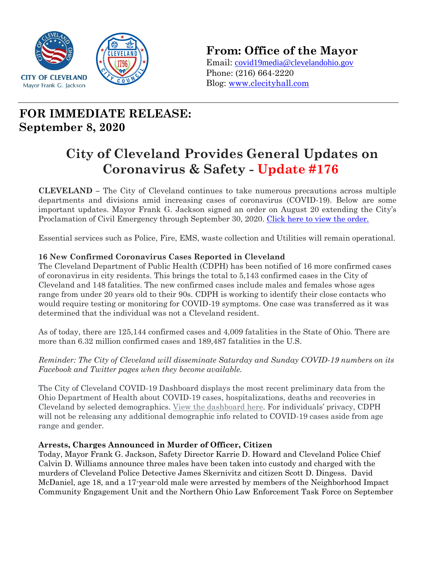

**From: Office of the Mayor**

Email: [covid19media@clevelandohio.gov](mailto:covid19media@clevelandohio.gov) Phone: (216) 664-2220 Blog: [www.clecityhall.com](http://www.clecityhall.com/) 

## **FOR IMMEDIATE RELEASE: September 8, 2020**

# **City of Cleveland Provides General Updates on Coronavirus & Safety - Update #176**

**CLEVELAND –** The City of Cleveland continues to take numerous precautions across multiple departments and divisions amid increasing cases of coronavirus (COVID-19). Below are some important updates. Mayor Frank G. Jackson signed an order on August 20 extending the City's Proclamation of Civil Emergency through September 30, 2020. [Click here to view the order.](https://clecityhall.files.wordpress.com/2020/08/final_mayor-jacksons-proclamation-of-civil-emergency-update-no.7_8.20.2020.pdf)

Essential services such as Police, Fire, EMS, waste collection and Utilities will remain operational.

#### **16 New Confirmed Coronavirus Cases Reported in Cleveland**

The Cleveland Department of Public Health (CDPH) has been notified of 16 more confirmed cases of coronavirus in city residents. This brings the total to 5,143 confirmed cases in the City of Cleveland and 148 fatalities. The new confirmed cases include males and females whose ages range from under 20 years old to their 90s. CDPH is working to identify their close contacts who would require testing or monitoring for COVID-19 symptoms. One case was transferred as it was determined that the individual was not a Cleveland resident.

As of today, there are 125,144 confirmed cases and 4,009 fatalities in the State of Ohio. There are more than 6.32 million confirmed cases and 189,487 fatalities in the U.S.

*Reminder: The City of Cleveland will disseminate Saturday and Sunday COVID-19 numbers on its Facebook and Twitter pages when they become available.*

The City of Cleveland COVID-19 Dashboard displays the most recent preliminary data from the Ohio Department of Health about COVID-19 cases, hospitalizations, deaths and recoveries in Cleveland by selected demographics. View the [dashboard](http://www.clevelandhealth.org/) here. For individuals' privacy, CDPH will not be releasing any additional demographic info related to COVID-19 cases aside from age range and gender.

#### **Arrests, Charges Announced in Murder of Officer, Citizen**

Today, Mayor Frank G. Jackson, Safety Director Karrie D. Howard and Cleveland Police Chief Calvin D. Williams announce three males have been taken into custody and charged with the murders of Cleveland Police Detective James Skernivitz and citizen Scott D. Dingess. David McDaniel, age 18, and a 17-year-old male were arrested by members of the Neighborhood Impact Community Engagement Unit and the Northern Ohio Law Enforcement Task Force on September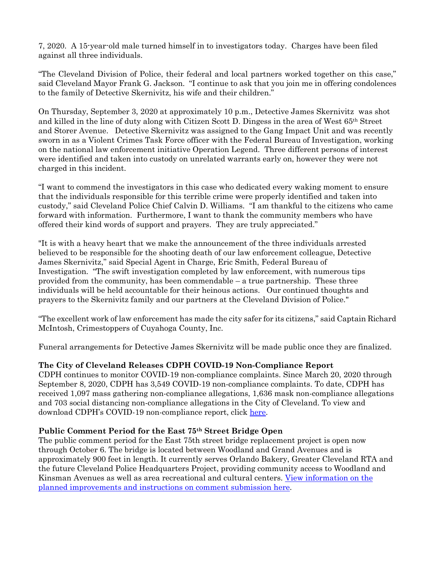7, 2020. A 15-year-old male turned himself in to investigators today. Charges have been filed against all three individuals.

"The Cleveland Division of Police, their federal and local partners worked together on this case," said Cleveland Mayor Frank G. Jackson. "I continue to ask that you join me in offering condolences to the family of Detective Skernivitz, his wife and their children."

On Thursday, September 3, 2020 at approximately 10 p.m., Detective James Skernivitz was shot and killed in the line of duty along with Citizen Scott D. Dingess in the area of West 65th Street and Storer Avenue. Detective Skernivitz was assigned to the Gang Impact Unit and was recently sworn in as a Violent Crimes Task Force officer with the Federal Bureau of Investigation, working on the national law enforcement initiative Operation Legend. Three different persons of interest were identified and taken into custody on unrelated warrants early on, however they were not charged in this incident.

"I want to commend the investigators in this case who dedicated every waking moment to ensure that the individuals responsible for this terrible crime were properly identified and taken into custody," said Cleveland Police Chief Calvin D. Williams. "I am thankful to the citizens who came forward with information. Furthermore, I want to thank the community members who have offered their kind words of support and prayers. They are truly appreciated."

"It is with a heavy heart that we make the announcement of the three individuals arrested believed to be responsible for the shooting death of our law enforcement colleague, Detective James Skernivitz," said Special Agent in Charge, Eric Smith, Federal Bureau of Investigation. "The swift investigation completed by law enforcement, with numerous tips provided from the community, has been commendable – a true partnership. These three individuals will be held accountable for their heinous actions. Our continued thoughts and prayers to the Skernivitz family and our partners at the Cleveland Division of Police."

"The excellent work of law enforcement has made the city safer for its citizens," said Captain Richard McIntosh, Crimestoppers of Cuyahoga County, Inc.

Funeral arrangements for Detective James Skernivitz will be made public once they are finalized.

#### **The City of Cleveland Releases CDPH COVID-19 Non-Compliance Report**

CDPH continues to monitor COVID-19 non-compliance complaints. Since March 20, 2020 through September 8, 2020, CDPH has 3,549 COVID-19 non-compliance complaints. To date, CDPH has received 1,097 mass gathering non-compliance allegations, 1,636 mask non-compliance allegations and 703 social distancing non-compliance allegations in the City of Cleveland. To view and download CDPH's COVID-19 non-compliance report, click [here.](https://clecityhall.files.wordpress.com/2020/09/non-compliance-report-9-8-2020.pdf)

#### **Public Comment Period for the East 75th Street Bridge Open**

The public comment period for the East 75th street bridge replacement project is open now through October 6. The bridge is located between Woodland and Grand Avenues and is approximately 900 feet in length. It currently serves Orlando Bakery, Greater Cleveland RTA and the future Cleveland Police Headquarters Project, providing community access to Woodland and Kinsman Avenues as well as area recreational and cultural centers. [View information on the](https://clecityhall.files.wordpress.com/2020/09/east-75th-street-bridge-replacement-fact-sheet-for-public-comment-9-3-20rjs.docx)  [planned improvements and instructions on comment submission](https://clecityhall.files.wordpress.com/2020/09/east-75th-street-bridge-replacement-fact-sheet-for-public-comment-9-3-20rjs.docx) here.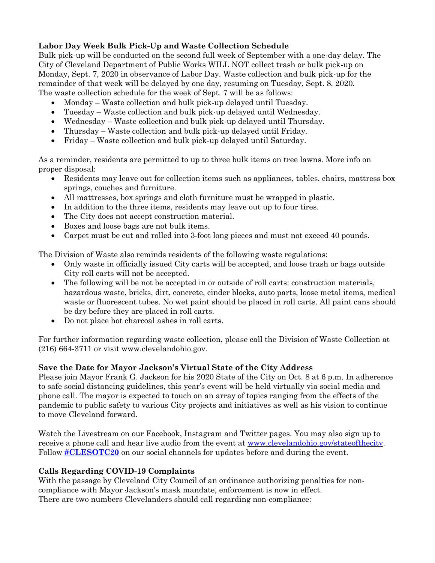#### **Labor Day Week Bulk Pick-Up and Waste Collection Schedule**

Bulk pick-up will be conducted on the second full week of September with a one-day delay. The City of Cleveland Department of Public Works WILL NOT collect trash or bulk pick-up on Monday, Sept. 7, 2020 in observance of Labor Day. Waste collection and bulk pick-up for the remainder of that week will be delayed by one day, resuming on Tuesday, Sept. 8, 2020. The waste collection schedule for the week of Sept. 7 will be as follows:

- Monday Waste collection and bulk pick-up delayed until Tuesday.
- Tuesday Waste collection and bulk pick-up delayed until Wednesday.
- Wednesday Waste collection and bulk pick-up delayed until Thursday.
- Thursday Waste collection and bulk pick-up delayed until Friday.
- Friday Waste collection and bulk pick-up delayed until Saturday.

As a reminder, residents are permitted to up to three bulk items on tree lawns. More info on proper disposal:

- Residents may leave out for collection items such as appliances, tables, chairs, mattress box springs, couches and furniture.
- All mattresses, box springs and cloth furniture must be wrapped in plastic.
- In addition to the three items, residents may leave out up to four tires.
- The City does not accept construction material.
- Boxes and loose bags are not bulk items.
- Carpet must be cut and rolled into 3-foot long pieces and must not exceed 40 pounds.

The Division of Waste also reminds residents of the following waste regulations:

- Only waste in officially issued City carts will be accepted, and loose trash or bags outside City roll carts will not be accepted.
- The following will be not be accepted in or outside of roll carts: construction materials, hazardous waste, bricks, dirt, concrete, cinder blocks, auto parts, loose metal items, medical waste or fluorescent tubes. No wet paint should be placed in roll carts. All paint cans should be dry before they are placed in roll carts.
- Do not place hot charcoal ashes in roll carts.

For further information regarding waste collection, please call the Division of Waste Collection at (216) 664-3711 or visit www.clevelandohio.gov.

#### **Save the Date for Mayor Jackson's Virtual State of the City Address**

Please join Mayor Frank G. Jackson for his 2020 State of the City on Oct. 8 at 6 p.m. In adherence to safe social distancing guidelines, this year's event will be held virtually via social media and phone call. The mayor is expected to touch on an array of topics ranging from the effects of the pandemic to public safety to various City projects and initiatives as well as his vision to continue to move Cleveland forward.

Watch the Livestream on our Facebook, Instagram and Twitter pages. You may also sign up to receive a phone call and hear live audio from the event at [www.clevelandohio.gov/stateofthecity.](http://www.clevelandohio.gov/stateofthecity?fbclid=IwAR03Xu-5yzQs8L86l-Nr4C6IYth5TzJ7PR_IjP32-IupFqR5UkbMhnM7fqo) Follow **[#CLESOTC20](https://www.facebook.com/hashtag/clesotc20?__eep__=6)** on our social channels for updates before and during the event.

#### **Calls Regarding COVID-19 Complaints**

With the passage by Cleveland City Council of an ordinance authorizing penalties for noncompliance with Mayor Jackson's mask mandate, enforcement is now in effect. There are two numbers Clevelanders should call regarding non-compliance: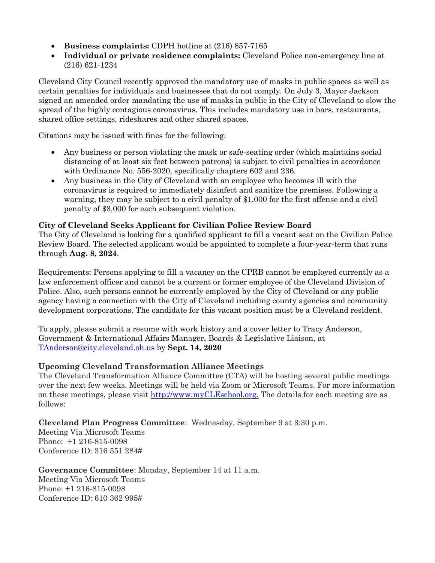- **Business complaints:** CDPH hotline at (216) 857-7165
- **Individual or private residence complaints:** Cleveland Police non-emergency line at (216) 621-1234

Cleveland City Council recently approved the mandatory use of masks in public spaces as well as certain penalties for individuals and businesses that do not comply. On July 3, Mayor Jackson signed an amended order mandating the use of masks in public in the City of Cleveland to slow the spread of the highly contagious coronavirus. This includes mandatory use in bars, restaurants, shared office settings, rideshares and other shared spaces.

Citations may be issued with fines for the following:

- Any business or person violating the mask or safe-seating order (which maintains social distancing of at least six feet between patrons) is subject to civil penalties in accordance with Ordinance No. 556-2020, specifically chapters 602 and 236.
- Any business in the City of Cleveland with an employee who becomes ill with the coronavirus is required to immediately disinfect and sanitize the premises. Following a warning, they may be subject to a civil penalty of \$1,000 for the first offense and a civil penalty of \$3,000 for each subsequent violation.

#### **City of Cleveland Seeks Applicant for Civilian Police Review Board**

The City of Cleveland is looking for a qualified applicant to fill a vacant seat on the Civilian Police Review Board. The selected applicant would be appointed to complete a four-year-term that runs through **Aug. 8, 2024**.

Requirements: Persons applying to fill a vacancy on the CPRB cannot be employed currently as a law enforcement officer and cannot be a current or former employee of the Cleveland Division of Police. Also, such persons cannot be currently employed by the City of Cleveland or any public agency having a connection with the City of Cleveland including county agencies and community development corporations. The candidate for this vacant position must be a Cleveland resident.

To apply, please submit a resume with work history and a cover letter to Tracy Anderson, Government & International Affairs Manager, Boards & Legislative Liaison, at [TAnderson@city.cleveland.oh.us](mailto:TAnderson@city.cleveland.oh.us) by **Sept. 14, 2020**

#### **Upcoming Cleveland Transformation Alliance Meetings**

The Cleveland Transformation Alliance Committee (CTA) will be hosting several public meetings over the next few weeks. Meetings will be held via Zoom or Microsoft Teams. For more information on these meetings, please visit [http://www.myCLEschool.org.](http://www.mycleschool.org/) The details for each meeting are as follows:

**Cleveland Plan Progress Committee**: Wednesday, September 9 at 3:30 p.m.

Meeting Via Microsoft Teams Phone: +1 216-815-0098 Conference ID: 316 551 284#

**Governance Committee**: Monday, September 14 at 11 a.m. Meeting Via Microsoft Teams Phone: +1 216-815-0098 Conference ID: 610 362 995#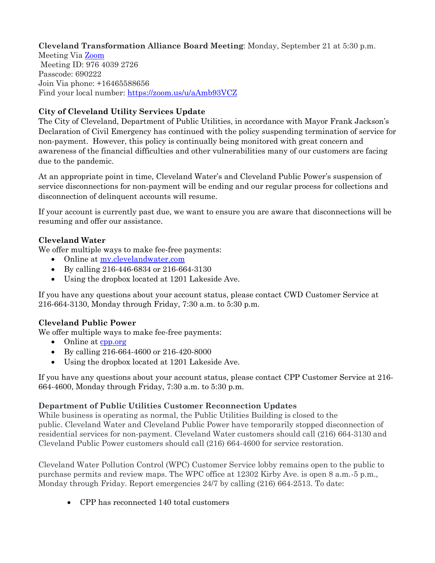**Cleveland Transformation Alliance Board Meeting**: Monday, September 21 at 5:30 p.m.

Meeting Via [Zoom](https://zoom.us/j/97640392726?pwd=WWRBLzUxUlN3d0NHMHgraVNUWXFsQT09) Meeting ID: 976 4039 2726 Passcode: 690222 Join Via phone: +16465588656 Find your local number:<https://zoom.us/u/aAmb93VCZ>

#### **City of Cleveland Utility Services Update**

The City of Cleveland, Department of Public Utilities, in accordance with Mayor Frank Jackson's Declaration of Civil Emergency has continued with the policy suspending termination of service for non-payment. However, this policy is continually being monitored with great concern and awareness of the financial difficulties and other vulnerabilities many of our customers are facing due to the pandemic.

At an appropriate point in time, Cleveland Water's and Cleveland Public Power's suspension of service disconnections for non-payment will be ending and our regular process for collections and disconnection of delinquent accounts will resume.

If your account is currently past due, we want to ensure you are aware that disconnections will be resuming and offer our assistance.

#### **Cleveland Water**

We offer multiple ways to make fee-free payments:

- Online at [my.clevelandwater.com](http://my.clevelandwater.com/)
- By calling 216-446-6834 or 216-664-3130
- Using the dropbox located at 1201 Lakeside Ave.

If you have any questions about your account status, please contact CWD Customer Service at 216-664-3130, Monday through Friday, 7:30 a.m. to 5:30 p.m.

#### **Cleveland Public Power**

We offer multiple ways to make fee-free payments:

- Online at <u>cpp.org</u>
- By calling 216-664-4600 or 216-420-8000
- Using the dropbox located at 1201 Lakeside Ave.

If you have any questions about your account status, please contact CPP Customer Service at 216- 664-4600, Monday through Friday, 7:30 a.m. to 5:30 p.m.

#### **Department of Public Utilities Customer Reconnection Updates**

While business is operating as normal, the Public Utilities Building is closed to the public. Cleveland Water and Cleveland Public Power have temporarily stopped disconnection of residential services for non-payment. Cleveland Water customers should call (216) 664-3130 and Cleveland Public Power customers should call (216) 664-4600 for service restoration.

Cleveland Water Pollution Control (WPC) Customer Service lobby remains open to the public to purchase permits and review maps. The WPC office at 12302 Kirby Ave. is open 8 a.m.-5 p.m., Monday through Friday. Report emergencies 24/7 by calling (216) 664-2513. To date:

CPP has reconnected 140 total customers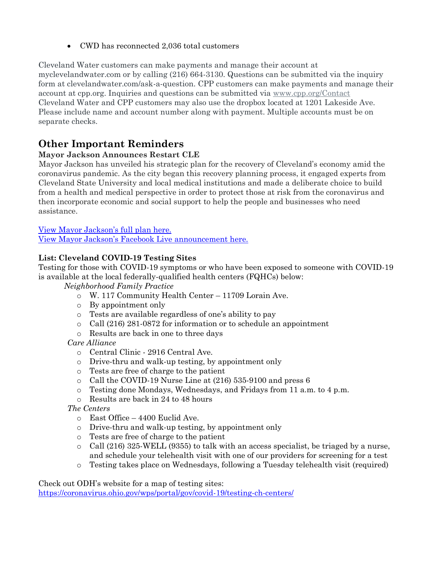CWD has reconnected 2,036 total customers

Cleveland Water customers can make payments and manage their account at myclevelandwater.com or by calling (216) 664-3130. Questions can be submitted via the inquiry form at clevelandwater.com/ask-a-question. CPP customers can make payments and manage their account at cpp.org. Inquiries and questions can be submitted via [www.cpp.org/Contact](http://www.cpp.org/Contact) Cleveland Water and CPP customers may also use the dropbox located at 1201 Lakeside Ave. Please include name and account number along with payment. Multiple accounts must be on separate checks.

### **Other Important Reminders**

#### **Mayor Jackson Announces Restart CLE**

Mayor Jackson has unveiled his strategic plan for the recovery of Cleveland's economy amid the coronavirus pandemic. As the city began this recovery planning process, it engaged experts from Cleveland State University and local medical institutions and made a deliberate choice to build from a health and medical perspective in order to protect those at risk from the coronavirus and then incorporate economic and social support to help the people and businesses who need assistance.

[View Mayor Jackson's full plan here.](https://clecityhall.files.wordpress.com/2020/05/mayor-jackson-restart-cle-plan.pdf) [View Mayor Jackson's Facebook](https://www.facebook.com/CityofCleveland/videos/862875027542146/) Live announcement here.

#### **List: Cleveland COVID-19 Testing Sites**

Testing for those with COVID-19 symptoms or who have been exposed to someone with COVID-19 is available at the local federally-qualified health centers (FQHCs) below:

*Neighborhood Family Practice*

- o W. 117 Community Health Center 11709 Lorain Ave.
- o By appointment only
- o Tests are available regardless of one's ability to pay
- o Call (216) 281-0872 for information or to schedule an appointment
- o Results are back in one to three days

*Care Alliance*

- o Central Clinic 2916 Central Ave.
- o Drive-thru and walk-up testing, by appointment only
- o Tests are free of charge to the patient
- o Call the COVID-19 Nurse Line at (216) 535-9100 and press 6
- $\circ$  Testing done Mondays, Wednesdays, and Fridays from 11 a.m. to 4 p.m.
- o Results are back in 24 to 48 hours

*The Centers*

- o East Office 4400 Euclid Ave.
- o Drive-thru and walk-up testing, by appointment only
- o Tests are free of charge to the patient
- $\circ$  Call (216) 325-WELL (9355) to talk with an access specialist, be triaged by a nurse, and schedule your telehealth visit with one of our providers for screening for a test
- o Testing takes place on Wednesdays, following a Tuesday telehealth visit (required)

Check out ODH's website for a map of testing sites: <https://coronavirus.ohio.gov/wps/portal/gov/covid-19/testing-ch-centers/>